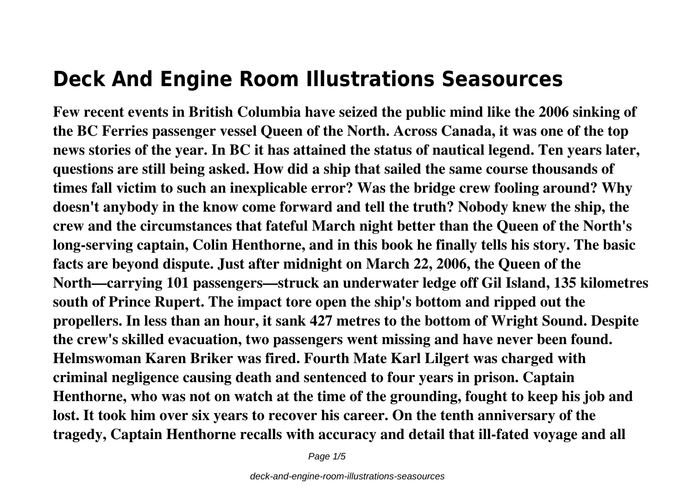## **Deck And Engine Room Illustrations Seasources**

**Few recent events in British Columbia have seized the public mind like the 2006 sinking of the BC Ferries passenger vessel Queen of the North. Across Canada, it was one of the top news stories of the year. In BC it has attained the status of nautical legend. Ten years later, questions are still being asked. How did a ship that sailed the same course thousands of times fall victim to such an inexplicable error? Was the bridge crew fooling around? Why doesn't anybody in the know come forward and tell the truth? Nobody knew the ship, the crew and the circumstances that fateful March night better than the Queen of the North's long-serving captain, Colin Henthorne, and in this book he finally tells his story. The basic facts are beyond dispute. Just after midnight on March 22, 2006, the Queen of the North—carrying 101 passengers—struck an underwater ledge off Gil Island, 135 kilometres south of Prince Rupert. The impact tore open the ship's bottom and ripped out the propellers. In less than an hour, it sank 427 metres to the bottom of Wright Sound. Despite the crew's skilled evacuation, two passengers went missing and have never been found. Helmswoman Karen Briker was fired. Fourth Mate Karl Lilgert was charged with criminal negligence causing death and sentenced to four years in prison. Captain Henthorne, who was not on watch at the time of the grounding, fought to keep his job and lost. It took him over six years to recover his career. On the tenth anniversary of the tragedy, Captain Henthorne recalls with accuracy and detail that ill-fated voyage and all**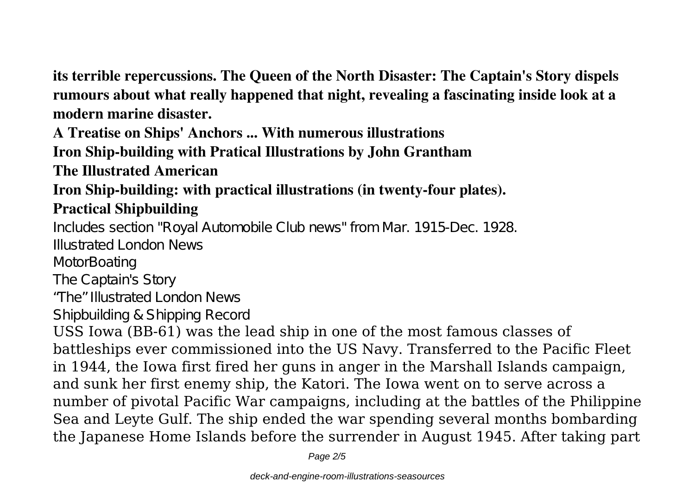**its terrible repercussions. The Queen of the North Disaster: The Captain's Story dispels rumours about what really happened that night, revealing a fascinating inside look at a modern marine disaster.**

**A Treatise on Ships' Anchors ... With numerous illustrations**

**Iron Ship-building with Pratical Illustrations by John Grantham**

**The Illustrated American**

## **Iron Ship-building: with practical illustrations (in twenty-four plates). Practical Shipbuilding**

Includes section "Royal Automobile Club news" from Mar. 1915-Dec. 1928. Illustrated London News

**MotorBoating** 

The Captain's Story

"The" Illustrated London News

Shipbuilding & Shipping Record

USS Iowa (BB-61) was the lead ship in one of the most famous classes of battleships ever commissioned into the US Navy. Transferred to the Pacific Fleet in 1944, the Iowa first fired her guns in anger in the Marshall Islands campaign, and sunk her first enemy ship, the Katori. The Iowa went on to serve across a number of pivotal Pacific War campaigns, including at the battles of the Philippine Sea and Leyte Gulf. The ship ended the war spending several months bombarding the Japanese Home Islands before the surrender in August 1945. After taking part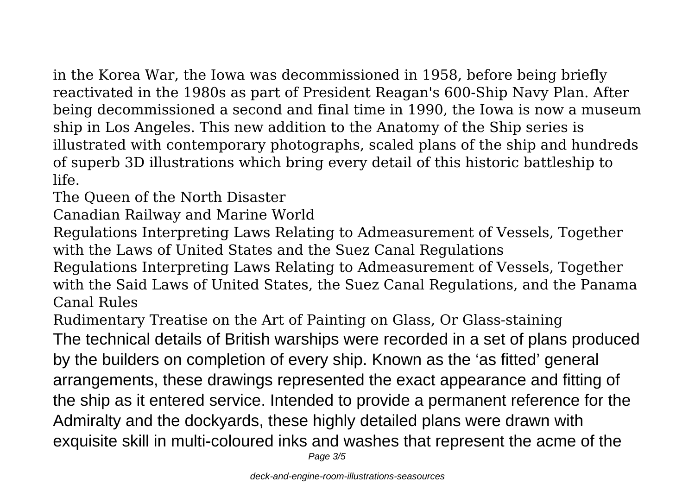in the Korea War, the Iowa was decommissioned in 1958, before being briefly reactivated in the 1980s as part of President Reagan's 600-Ship Navy Plan. After being decommissioned a second and final time in 1990, the Iowa is now a museum ship in Los Angeles. This new addition to the Anatomy of the Ship series is illustrated with contemporary photographs, scaled plans of the ship and hundreds of superb 3D illustrations which bring every detail of this historic battleship to life.

The Queen of the North Disaster

Canadian Railway and Marine World

Regulations Interpreting Laws Relating to Admeasurement of Vessels, Together with the Laws of United States and the Suez Canal Regulations

Regulations Interpreting Laws Relating to Admeasurement of Vessels, Together with the Said Laws of United States, the Suez Canal Regulations, and the Panama Canal Rules

Rudimentary Treatise on the Art of Painting on Glass, Or Glass-staining The technical details of British warships were recorded in a set of plans produced by the builders on completion of every ship. Known as the 'as fitted' general arrangements, these drawings represented the exact appearance and fitting of the ship as it entered service. Intended to provide a permanent reference for the Admiralty and the dockyards, these highly detailed plans were drawn with exquisite skill in multi-coloured inks and washes that represent the acme of the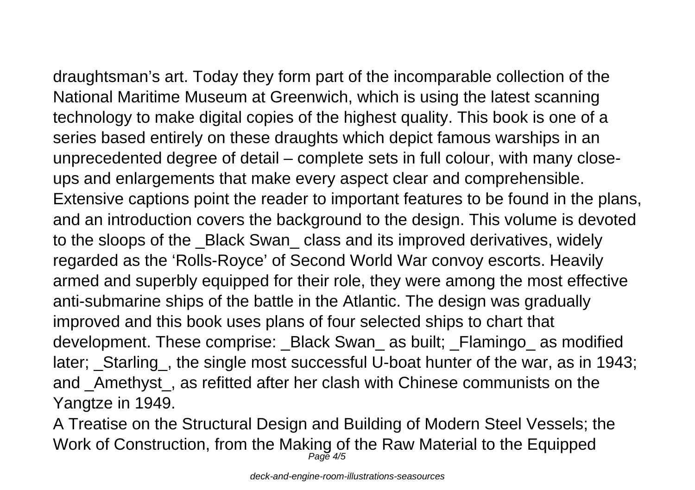draughtsman's art. Today they form part of the incomparable collection of the National Maritime Museum at Greenwich, which is using the latest scanning technology to make digital copies of the highest quality. This book is one of a series based entirely on these draughts which depict famous warships in an unprecedented degree of detail – complete sets in full colour, with many closeups and enlargements that make every aspect clear and comprehensible. Extensive captions point the reader to important features to be found in the plans, and an introduction covers the background to the design. This volume is devoted to the sloops of the Black Swan class and its improved derivatives, widely regarded as the 'Rolls-Royce' of Second World War convoy escorts. Heavily armed and superbly equipped for their role, they were among the most effective anti-submarine ships of the battle in the Atlantic. The design was gradually improved and this book uses plans of four selected ships to chart that development. These comprise: Black Swan as built; Flamingo as modified later; \_Starling\_, the single most successful U-boat hunter of the war, as in 1943; and \_Amethyst\_, as refitted after her clash with Chinese communists on the Yangtze in 1949.

A Treatise on the Structural Design and Building of Modern Steel Vessels; the Work of Construction, from the Making of the Raw Material to the Equipped Page 4/5